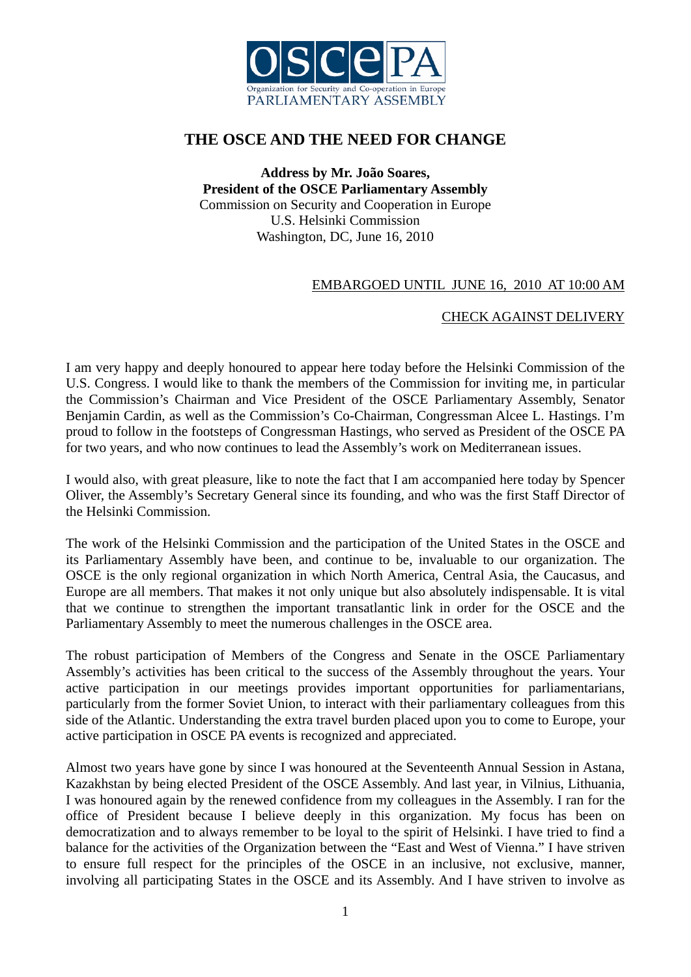

## **THE OSCE AND THE NEED FOR CHANGE**

**Address by Mr. João Soares, President of the OSCE Parliamentary Assembly**  Commission on Security and Cooperation in Europe U.S. Helsinki Commission Washington, DC, June 16, 2010

## EMBARGOED UNTIL JUNE 16, 2010 AT 10:00 AM

## CHECK AGAINST DELIVERY

I am very happy and deeply honoured to appear here today before the Helsinki Commission of the U.S. Congress. I would like to thank the members of the Commission for inviting me, in particular the Commission's Chairman and Vice President of the OSCE Parliamentary Assembly, Senator Benjamin Cardin, as well as the Commission's Co-Chairman, Congressman Alcee L. Hastings. I'm proud to follow in the footsteps of Congressman Hastings, who served as President of the OSCE PA for two years, and who now continues to lead the Assembly's work on Mediterranean issues.

I would also, with great pleasure, like to note the fact that I am accompanied here today by Spencer Oliver, the Assembly's Secretary General since its founding, and who was the first Staff Director of the Helsinki Commission.

The work of the Helsinki Commission and the participation of the United States in the OSCE and its Parliamentary Assembly have been, and continue to be, invaluable to our organization. The OSCE is the only regional organization in which North America, Central Asia, the Caucasus, and Europe are all members. That makes it not only unique but also absolutely indispensable. It is vital that we continue to strengthen the important transatlantic link in order for the OSCE and the Parliamentary Assembly to meet the numerous challenges in the OSCE area.

The robust participation of Members of the Congress and Senate in the OSCE Parliamentary Assembly's activities has been critical to the success of the Assembly throughout the years. Your active participation in our meetings provides important opportunities for parliamentarians, particularly from the former Soviet Union, to interact with their parliamentary colleagues from this side of the Atlantic. Understanding the extra travel burden placed upon you to come to Europe, your active participation in OSCE PA events is recognized and appreciated.

Almost two years have gone by since I was honoured at the Seventeenth Annual Session in Astana, Kazakhstan by being elected President of the OSCE Assembly. And last year, in Vilnius, Lithuania, I was honoured again by the renewed confidence from my colleagues in the Assembly. I ran for the office of President because I believe deeply in this organization. My focus has been on democratization and to always remember to be loyal to the spirit of Helsinki. I have tried to find a balance for the activities of the Organization between the "East and West of Vienna." I have striven to ensure full respect for the principles of the OSCE in an inclusive, not exclusive, manner, involving all participating States in the OSCE and its Assembly. And I have striven to involve as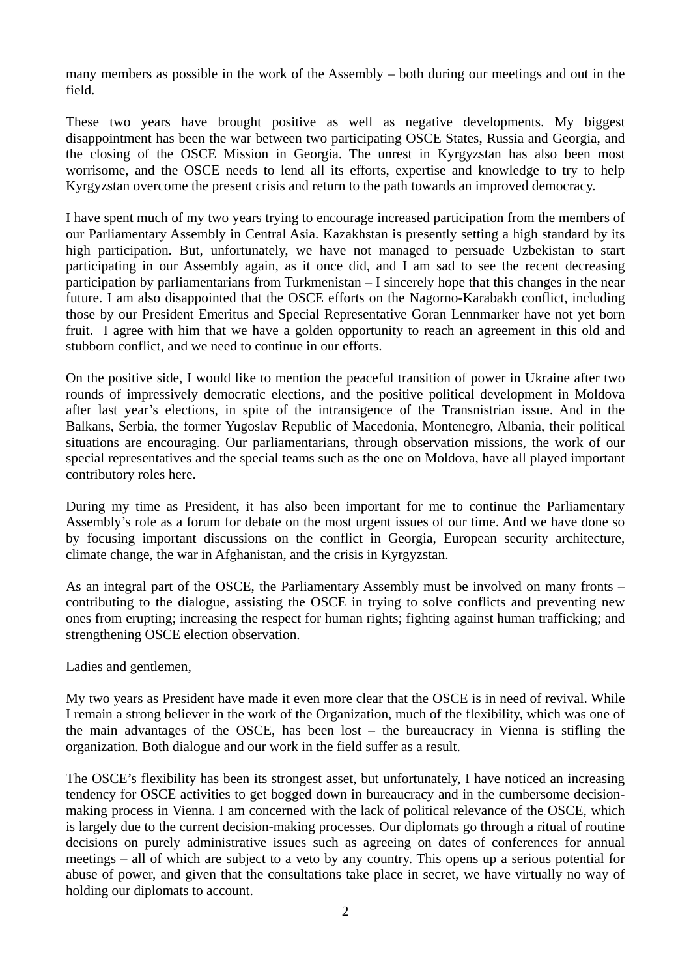many members as possible in the work of the Assembly – both during our meetings and out in the field.

These two years have brought positive as well as negative developments. My biggest disappointment has been the war between two participating OSCE States, Russia and Georgia, and the closing of the OSCE Mission in Georgia. The unrest in Kyrgyzstan has also been most worrisome, and the OSCE needs to lend all its efforts, expertise and knowledge to try to help Kyrgyzstan overcome the present crisis and return to the path towards an improved democracy.

I have spent much of my two years trying to encourage increased participation from the members of our Parliamentary Assembly in Central Asia. Kazakhstan is presently setting a high standard by its high participation. But, unfortunately, we have not managed to persuade Uzbekistan to start participating in our Assembly again, as it once did, and I am sad to see the recent decreasing participation by parliamentarians from Turkmenistan – I sincerely hope that this changes in the near future. I am also disappointed that the OSCE efforts on the Nagorno-Karabakh conflict, including those by our President Emeritus and Special Representative Goran Lennmarker have not yet born fruit. I agree with him that we have a golden opportunity to reach an agreement in this old and stubborn conflict, and we need to continue in our efforts.

On the positive side, I would like to mention the peaceful transition of power in Ukraine after two rounds of impressively democratic elections, and the positive political development in Moldova after last year's elections, in spite of the intransigence of the Transnistrian issue. And in the Balkans, Serbia, the former Yugoslav Republic of Macedonia, Montenegro, Albania, their political situations are encouraging. Our parliamentarians, through observation missions, the work of our special representatives and the special teams such as the one on Moldova, have all played important contributory roles here.

During my time as President, it has also been important for me to continue the Parliamentary Assembly's role as a forum for debate on the most urgent issues of our time. And we have done so by focusing important discussions on the conflict in Georgia, European security architecture, climate change, the war in Afghanistan, and the crisis in Kyrgyzstan.

As an integral part of the OSCE, the Parliamentary Assembly must be involved on many fronts – contributing to the dialogue, assisting the OSCE in trying to solve conflicts and preventing new ones from erupting; increasing the respect for human rights; fighting against human trafficking; and strengthening OSCE election observation.

Ladies and gentlemen,

My two years as President have made it even more clear that the OSCE is in need of revival. While I remain a strong believer in the work of the Organization, much of the flexibility, which was one of the main advantages of the OSCE, has been lost – the bureaucracy in Vienna is stifling the organization. Both dialogue and our work in the field suffer as a result.

The OSCE's flexibility has been its strongest asset, but unfortunately, I have noticed an increasing tendency for OSCE activities to get bogged down in bureaucracy and in the cumbersome decisionmaking process in Vienna. I am concerned with the lack of political relevance of the OSCE, which is largely due to the current decision-making processes. Our diplomats go through a ritual of routine decisions on purely administrative issues such as agreeing on dates of conferences for annual meetings – all of which are subject to a veto by any country. This opens up a serious potential for abuse of power, and given that the consultations take place in secret, we have virtually no way of holding our diplomats to account.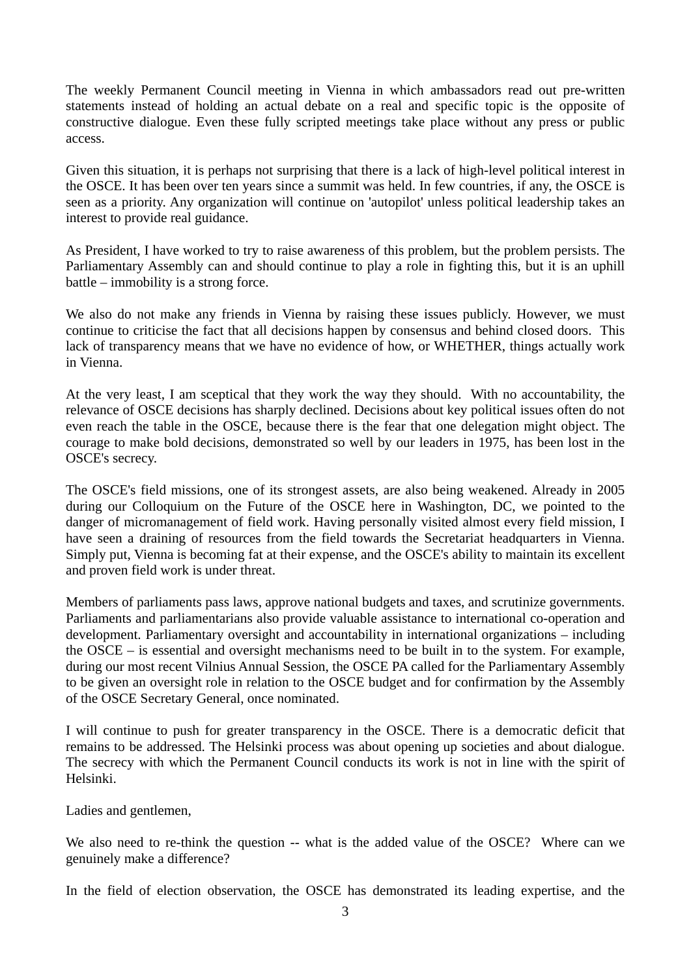The weekly Permanent Council meeting in Vienna in which ambassadors read out pre-written statements instead of holding an actual debate on a real and specific topic is the opposite of constructive dialogue. Even these fully scripted meetings take place without any press or public access.

Given this situation, it is perhaps not surprising that there is a lack of high-level political interest in the OSCE. It has been over ten years since a summit was held. In few countries, if any, the OSCE is seen as a priority. Any organization will continue on 'autopilot' unless political leadership takes an interest to provide real guidance.

As President, I have worked to try to raise awareness of this problem, but the problem persists. The Parliamentary Assembly can and should continue to play a role in fighting this, but it is an uphill battle – immobility is a strong force.

We also do not make any friends in Vienna by raising these issues publicly. However, we must continue to criticise the fact that all decisions happen by consensus and behind closed doors. This lack of transparency means that we have no evidence of how, or WHETHER, things actually work in Vienna.

At the very least, I am sceptical that they work the way they should. With no accountability, the relevance of OSCE decisions has sharply declined. Decisions about key political issues often do not even reach the table in the OSCE, because there is the fear that one delegation might object. The courage to make bold decisions, demonstrated so well by our leaders in 1975, has been lost in the OSCE's secrecy.

The OSCE's field missions, one of its strongest assets, are also being weakened. Already in 2005 during our Colloquium on the Future of the OSCE here in Washington, DC, we pointed to the danger of micromanagement of field work. Having personally visited almost every field mission, I have seen a draining of resources from the field towards the Secretariat headquarters in Vienna. Simply put, Vienna is becoming fat at their expense, and the OSCE's ability to maintain its excellent and proven field work is under threat.

Members of parliaments pass laws, approve national budgets and taxes, and scrutinize governments. Parliaments and parliamentarians also provide valuable assistance to international co-operation and development. Parliamentary oversight and accountability in international organizations – including the OSCE – is essential and oversight mechanisms need to be built in to the system. For example, during our most recent Vilnius Annual Session, the OSCE PA called for the Parliamentary Assembly to be given an oversight role in relation to the OSCE budget and for confirmation by the Assembly of the OSCE Secretary General, once nominated.

I will continue to push for greater transparency in the OSCE. There is a democratic deficit that remains to be addressed. The Helsinki process was about opening up societies and about dialogue. The secrecy with which the Permanent Council conducts its work is not in line with the spirit of Helsinki.

Ladies and gentlemen,

We also need to re-think the question -- what is the added value of the OSCE? Where can we genuinely make a difference?

In the field of election observation, the OSCE has demonstrated its leading expertise, and the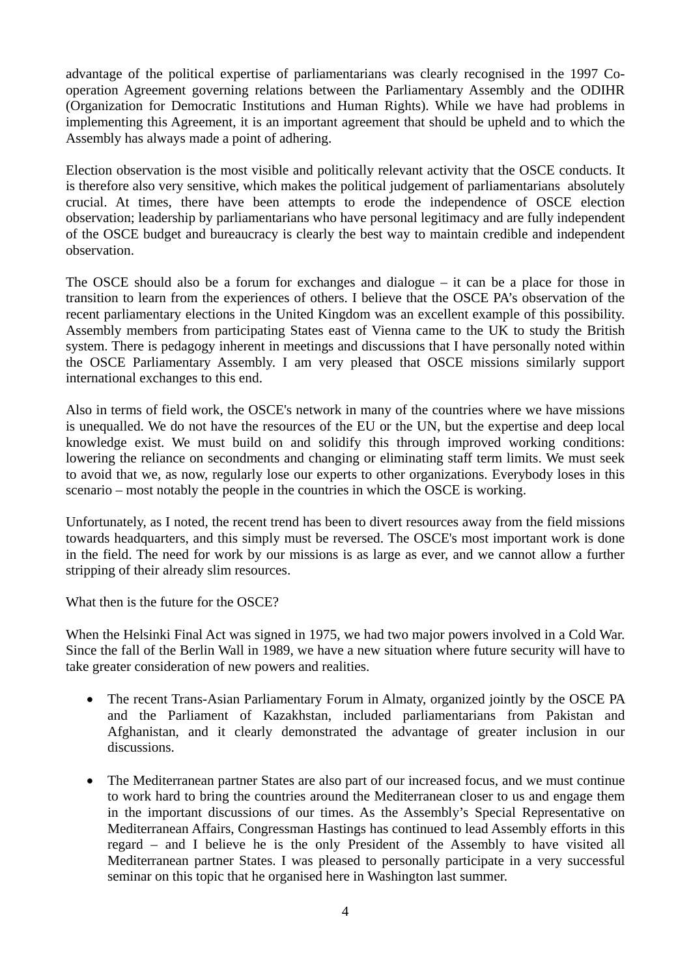advantage of the political expertise of parliamentarians was clearly recognised in the 1997 Cooperation Agreement governing relations between the Parliamentary Assembly and the ODIHR (Organization for Democratic Institutions and Human Rights). While we have had problems in implementing this Agreement, it is an important agreement that should be upheld and to which the Assembly has always made a point of adhering.

Election observation is the most visible and politically relevant activity that the OSCE conducts. It is therefore also very sensitive, which makes the political judgement of parliamentarians absolutely crucial. At times, there have been attempts to erode the independence of OSCE election observation; leadership by parliamentarians who have personal legitimacy and are fully independent of the OSCE budget and bureaucracy is clearly the best way to maintain credible and independent observation.

The OSCE should also be a forum for exchanges and dialogue – it can be a place for those in transition to learn from the experiences of others. I believe that the OSCE PA's observation of the recent parliamentary elections in the United Kingdom was an excellent example of this possibility. Assembly members from participating States east of Vienna came to the UK to study the British system. There is pedagogy inherent in meetings and discussions that I have personally noted within the OSCE Parliamentary Assembly. I am very pleased that OSCE missions similarly support international exchanges to this end.

Also in terms of field work, the OSCE's network in many of the countries where we have missions is unequalled. We do not have the resources of the EU or the UN, but the expertise and deep local knowledge exist. We must build on and solidify this through improved working conditions: lowering the reliance on secondments and changing or eliminating staff term limits. We must seek to avoid that we, as now, regularly lose our experts to other organizations. Everybody loses in this scenario – most notably the people in the countries in which the OSCE is working.

Unfortunately, as I noted, the recent trend has been to divert resources away from the field missions towards headquarters, and this simply must be reversed. The OSCE's most important work is done in the field. The need for work by our missions is as large as ever, and we cannot allow a further stripping of their already slim resources.

What then is the future for the OSCE?

When the Helsinki Final Act was signed in 1975, we had two major powers involved in a Cold War. Since the fall of the Berlin Wall in 1989, we have a new situation where future security will have to take greater consideration of new powers and realities.

- The recent Trans-Asian Parliamentary Forum in Almaty, organized jointly by the OSCE PA and the Parliament of Kazakhstan, included parliamentarians from Pakistan and Afghanistan, and it clearly demonstrated the advantage of greater inclusion in our discussions.
- The Mediterranean partner States are also part of our increased focus, and we must continue to work hard to bring the countries around the Mediterranean closer to us and engage them in the important discussions of our times. As the Assembly's Special Representative on Mediterranean Affairs, Congressman Hastings has continued to lead Assembly efforts in this regard – and I believe he is the only President of the Assembly to have visited all Mediterranean partner States. I was pleased to personally participate in a very successful seminar on this topic that he organised here in Washington last summer.